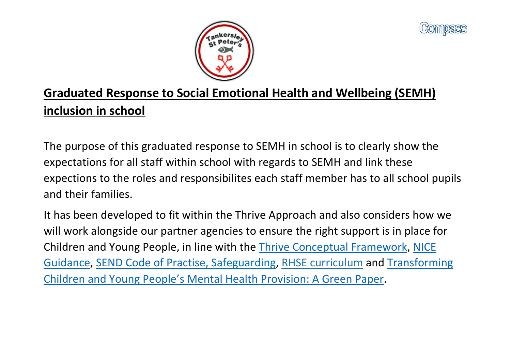



## **Graduated Response to Social Emotional Health and Wellbeing (SEMH) inclusion in school**

The purpose of this graduated response to SEMH in school is to clearly show the expectations for all staff within school with regards to SEMH and link these expections to the roles and responsibilites each staff member has to all school pupils and their families.

It has been developed to fit within the Thrive Approach and also considers how we will work alongside our partner agencies to ensure the right support is in place for Children and Young People, in line with the Thrive Conceptual Framework, NICE Guidance, SEND Code of Practise, Safeguarding, RHSE curriculum and Transforming Children and Young People's Mental Health Provision: A Green Paper.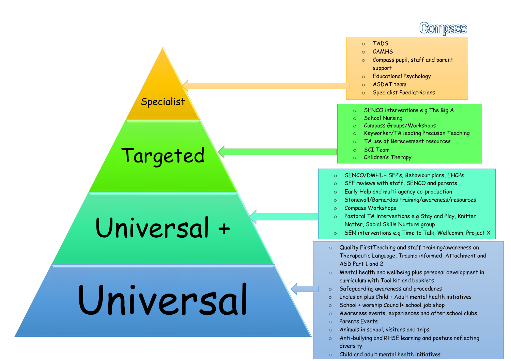

### o TADS

- o CAMHS
- Compass pupil, staff and parent support
- o Educational Psychology
- o ASDAT team
- Specialist Paediatricians

### SENCO interventions e.g The Big A

- **School Nursing**
- Compass Groups/Workshops
- Keyworker/TA leading Precision Teaching
- TA use of Bereavement resources
- **SCI Team**
- Children's Therapy

### o SENCO/DMHL – SFP's, Behaviour plans, EHCPs

- o SFP reviews with staff, SENCO and parents
- o Early Help and multi-agency co-production
- o Stonewall/Barnardos training/awareness/resources
- o Compass Workshops
- o Pastoral TA interventions e.g Stay and Play, Knitter Natter, Social Skills Nurture group
- o SEN interventions e.g Time to Talk, Wellcomm, Project X
- o Quality FirstTeaching and staff training/awareness on Therapeutic Language, Trauma informed, Attachment and ASD Part 1 and 2
- o Mental health and wellbeing plus personal development in curriculum with Tool kit and booklets
- o Safeguarding awareness and procedures
- o Inclusion plus Child + Adult mental health initiatives
- o School + worship Council+ school job shop
- o Awareness events, experiences and after school clubs
- o Parents Events
- o Animals in school, visitors and trips
- o Anti-bullying and RHSE learning and posters reflecting diversity
- o Child and adult mental health initiatives

### Specialist

## Targeted

# Universal +

# Universal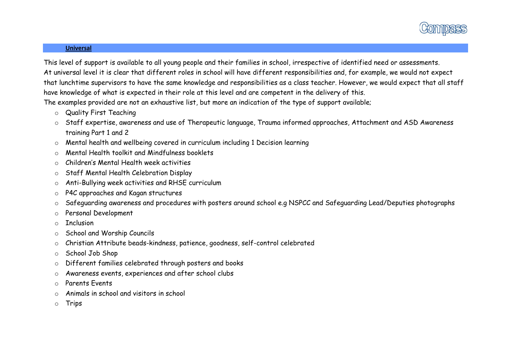### **Universal**

This level of support is available to all young people and their families in school, irrespective of identified need or assessments. At universal level it is clear that different roles in school will have different responsibilities and, for example, we would not expect that lunchtime supervisors to have the same knowledge and responsibilities as a class teacher. However, we would expect that all staff have knowledge of what is expected in their role at this level and are competent in the delivery of this.

The examples provided are not an exhaustive list, but more an indication of the type of support available;

- o Quality First Teaching
- o Staff expertise, awareness and use of Therapeutic language, Trauma informed approaches, Attachment and ASD Awareness training Part 1 and 2
- o Mental health and wellbeing covered in curriculum including 1 Decision learning
- o Mental Health toolkit and Mindfulness booklets
- o Children's Mental Health week activities
- o Staff Mental Health Celebration Display
- o Anti-Bullying week activities and RHSE curriculum
- o P4C approaches and Kagan structures
- o Safeguarding awareness and procedures with posters around school e.g NSPCC and Safeguarding Lead/Deputies photographs
- o Personal Development
- o Inclusion
- o School and Worship Councils
- o Christian Attribute beads-kindness, patience, goodness, self-control celebrated
- o School Job Shop
- o Different families celebrated through posters and books
- o Awareness events, experiences and after school clubs
- o Parents Events
- o Animals in school and visitors in school
- o Trips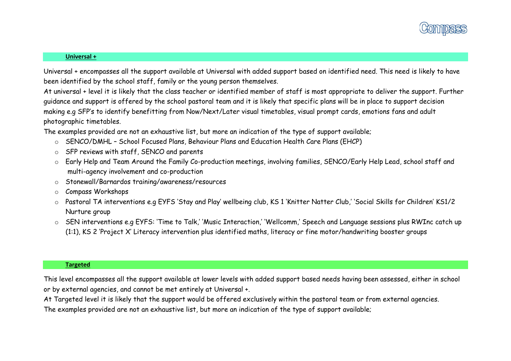

### **Universal +**

Universal + encompasses all the support available at Universal with added support based on identified need. This need is likely to have been identified by the school staff, family or the young person themselves.

At universal + level it is likely that the class teacher or identified member of staff is most appropriate to deliver the support. Further guidance and support is offered by the school pastoral team and it is likely that specific plans will be in place to support decision making e.g SFP's to identify benefitting from Now/Next/Later visual timetables, visual prompt cards, emotions fans and adult photographic timetables.

The examples provided are not an exhaustive list, but more an indication of the type of support available;

- o SENCO/DMHL School Focused Plans, Behaviour Plans and Education Health Care Plans (EHCP)
- o SFP reviews with staff, SENCO and parents
- o Early Help and Team Around the Family Co-production meetings, involving families, SENCO/Early Help Lead, school staff and multi-agency involvement and co-production
- o Stonewall/Barnardos training/awareness/resources
- o Compass Workshops
- o Pastoral TA interventions e.g EYFS 'Stay and Play' wellbeing club, KS 1 'Knitter Natter Club,' 'Social Skills for Children' KS1/2 Nurture group
- o SEN interventions e.g EYFS: 'Time to Talk,' 'Music Interaction,' 'Wellcomm,' Speech and Language sessions plus RWInc catch up (1:1), KS 2 'Project X' Literacy intervention plus identified maths, literacy or fine motor/handwriting booster groups

### **Targeted**

This level encompasses all the support available at lower levels with added support based needs having been assessed, either in school or by external agencies, and cannot be met entirely at Universal +.

At Targeted level it is likely that the support would be offered exclusively within the pastoral team or from external agencies. The examples provided are not an exhaustive list, but more an indication of the type of support available;